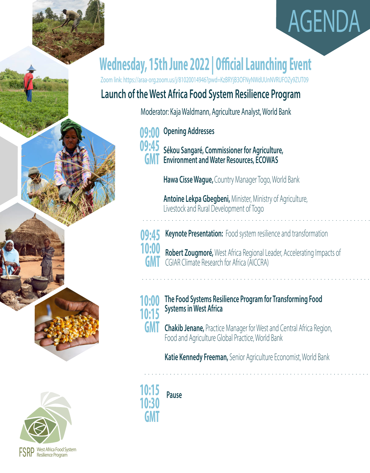



# **Wednesday, 15th June 2022 | Official Launching Event**

Zoom link: https://araa-org.zoom.us/j/81020014946?pwd=KzBRYjB3OFNyNWdUUnNVRUFOZy9ZUT09

### **Launch of the West Africa Food System Resilience Program**

Moderator: Kaja Waldmann, Agriculture Analyst, World Bank

**Opening Addresses Sékou Sangaré, Commissioner for Agriculture, Environment and Water Resources, ECOWAS 09:00 09:45 GMT** 

**Hawa Cisse Wague,** Country Manager Togo, World Bank

**Antoine Lekpa Gbegbeni,** Minister, Ministry of Agriculture, Livestock and Rural Development of Togo

**Keynote Presentation:** Food system resilience and transformation



**Robert Zougmoré,** West Africa Regional Leader, Accelerating Impacts of CGIAR Climate Research for Africa (AICCRA)



- **The Food Systems Resilience Program for Transforming Food Systems in West Africa**
- **Chakib Jenane,** Practice Manager for West and Central Africa Region, Food and Agriculture Global Practice, World Bank **GMT**

**Katie Kennedy Freeman,** Senior Agriculture Economist, World Bank

**FODD** West Africa Food System<br>**FORF** Resilience Program

**10:30 GMT** 

**Pause**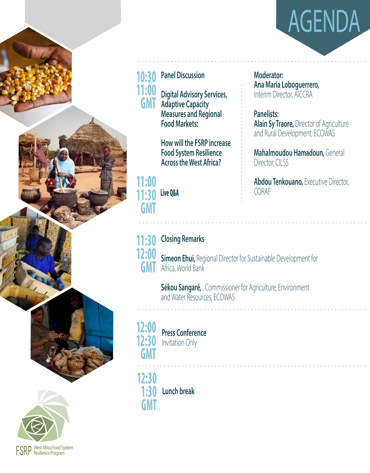



## **Panel Discussion 10:30**

**Digital Advisory Services, Adaptive Capacity Measures and Regional Food Markets:** 

**How will the FSRP increase Food System Resilience Across the West Africa?** 

#### **Live Q&A 11:00 11:30 GMT**

### **Closing Remarks**



**Simeon Ehui,** Regional Director for Sustainable Development for Africa, World Bank

**Sékou Sangaré,** , Commissioner for Agriculture, Environment and Water Resources, ECOWAS

### **12:00 12:30 GMT**

**FODD** West Africa Food System<br>**FORF** Resilience Program

**Press Conference**  Invitation Only

**Lunch break 12:30 1:30 GMT** 

**Moderator: Ana Maria Loboguerrero,**  Interim Director, AICCRA

**Panelists: Alain Sy Traore,** Director of Agriculture and Rural Development, ECOWAS

**Mahalmoudou Hamadoun,** General Director, CILSS

**Abdou Tenkouano,** Executive Director, CORAF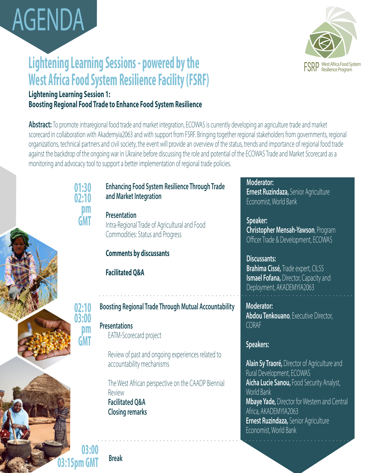

# **Lightening Learning Sessions - powered by the West Africa Food System Resilience Facility (FSRF)**



#### **Lightening Learning Session 1: Boosting Regional Food Trade to Enhance Food System Resilience**

**Abstract:** To promote intraregional food trade and market integration, ECOWAS is currently developing an agriculture trade and market scorecard in collaboration with Akademyia2063 and with support from FSRF. Bringing together regional stakeholders from governments, regional organizations, technical partners and civil society, the event will provide an overview of the status, trends and importance of regional food trade against the backdrop of the ongoing war in Ukraine before discussing the role and potential of the ECOWAS Trade and Market Scorecard as a monitoring and advocacy tool to support a better implementation of regional trade policies.

#### **01:30 02:10 pm GMT**

**02:10 03:00**

> **pm GMT**

#### **Enhancing Food System Resilience Through Trade and Market Integration**

**Presentation**  Intra-Regional Trade of Agricultural and Food Commodities: Status and Progress

#### **Comments by discussants**

**Facilitated Q&A**

#### **Boosting Regional Trade Through Mutual Accountability**

#### **Presentations** EATM-Scorecard project

Review of past and ongoing experiences related to accountability mechanisms

The West African perspective on the CAADP Biennial Review **Facilitated Q&A Closing remarks**

**Moderator: Ernest Ruzindaza,** Senior Agriculture Economist, World Bank

**Speaker: Christopher Mensah-Yawson**, Program Officer Trade & Development, ECOWAS

**Discussants: Brahima Cissé,** Trade expert, CILSS **Ismael Fofana,** Director, Capacity and Deployment, AKADEMYIA2063

**Moderator: Abdou Tenkouano**, Executive Director, CORAF

#### **Speakers:**

**Alain Sy Traoré,** Director of Agriculture and Rural Development, ECOWAS **Aicha Lucie Sanou,** Food Security Analyst, World Bank **Mbaye Yade,** Director for Western and Central Africa, AKADEMYIA2063 **Ernest Ruzindaza,** Senior Agriculture Economist, World Bank

**03:00 03:15pm GMT Break**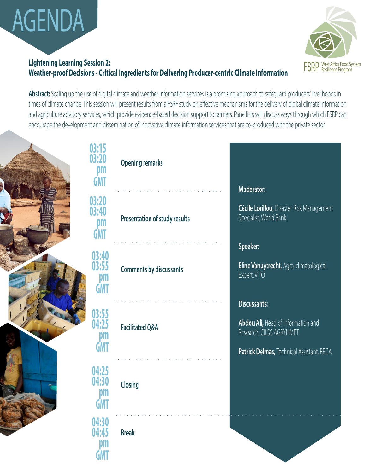

#### **Lightening Learning Session 2: Weather-proof Decisions - Critical Ingredients for Delivering Producer-centric Climate Information**



Abstract: Scaling up the use of digital climate and weather information services is a promising approach to safeguard producers' livelihoods in times of climate change. This session will present results from a FSRF study on effective mechanisms for the delivery of digital climate information and agriculture advisory services, which provide evidence-based decision support to farmers. Panellists will discuss ways through which FSRP can encourage the development and dissemination of innovative climate information services that are co-produced with the private sector.

|  | 03:15<br>03:20<br>DIT<br><b>GMT</b>       | <b>Opening remarks</b>         | Moderator:                                                                                                                  |  |
|--|-------------------------------------------|--------------------------------|-----------------------------------------------------------------------------------------------------------------------------|--|
|  | 03:20<br>03:40<br>pm<br><b>GMT</b>        | Presentation of study results  | Cécile Lorillou, Disaster Risk Management<br>Specialist, World Bank                                                         |  |
|  | 03:40<br>03:55<br><u>Dm</u><br><b>GMT</b> | <b>Comments by discussants</b> | Speaker:<br>Eline Vanuytrecht, Agro-climatological<br>Expert, VITO                                                          |  |
|  | 03:55<br>04:25<br>DM<br><b>GMT</b>        | <b>Facilitated Q&amp;A</b>     | Discussants:<br>Abdou Ali, Head of Information and<br>Research, CILSS AGRYHMET<br>Patrick Delmas, Technical Assistant, RECA |  |
|  | 04:25<br>04:30<br><b>GMT</b>              | Closing                        |                                                                                                                             |  |
|  | 04:30<br>04:45<br><b>GM</b>               | <b>Break</b>                   |                                                                                                                             |  |